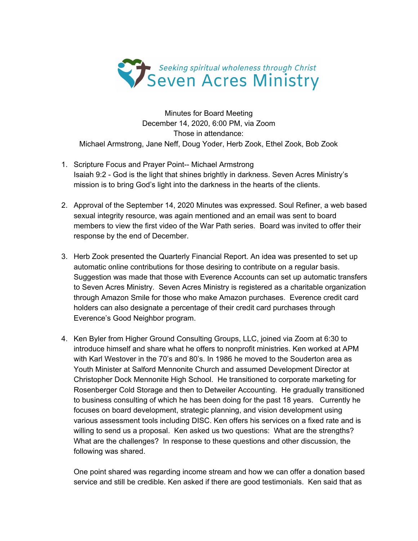

Minutes for Board Meeting December 14, 2020, 6:00 PM, via Zoom Those in attendance: Michael Armstrong, Jane Neff, Doug Yoder, Herb Zook, Ethel Zook, Bob Zook

- 1. Scripture Focus and Prayer Point-- Michael Armstrong Isaiah 9:2 - God is the light that shines brightly in darkness. Seven Acres Ministry's mission is to bring God's light into the darkness in the hearts of the clients.
- 2. Approval of the September 14, 2020 Minutes was expressed. Soul Refiner, a web based sexual integrity resource, was again mentioned and an email was sent to board members to view the first video of the War Path series. Board was invited to offer their response by the end of December.
- 3. Herb Zook presented the Quarterly Financial Report. An idea was presented to set up automatic online contributions for those desiring to contribute on a regular basis. Suggestion was made that those with Everence Accounts can set up automatic transfers to Seven Acres Ministry. Seven Acres Ministry is registered as a charitable organization through Amazon Smile for those who make Amazon purchases. Everence credit card holders can also designate a percentage of their credit card purchases through Everence's Good Neighbor program.
- 4. Ken Byler from Higher Ground Consulting Groups, LLC, joined via Zoom at 6:30 to introduce himself and share what he offers to nonprofit ministries. Ken worked at APM with Karl Westover in the 70's and 80's. In 1986 he moved to the Souderton area as Youth Minister at Salford Mennonite Church and assumed Development Director at Christopher Dock Mennonite High School. He transitioned to corporate marketing for Rosenberger Cold Storage and then to Detweiler Accounting. He gradually transitioned to business consulting of which he has been doing for the past 18 years. Currently he focuses on board development, strategic planning, and vision development using various assessment tools including DISC. Ken offers his services on a fixed rate and is willing to send us a proposal. Ken asked us two questions: What are the strengths? What are the challenges? In response to these questions and other discussion, the following was shared.

One point shared was regarding income stream and how we can offer a donation based service and still be credible. Ken asked if there are good testimonials. Ken said that as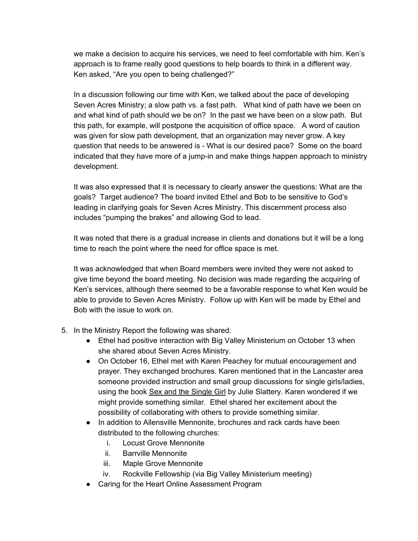we make a decision to acquire his services, we need to feel comfortable with him. Ken's approach is to frame really good questions to help boards to think in a different way. Ken asked, "Are you open to being challenged?"

In a discussion following our time with Ken, we talked about the pace of developing Seven Acres Ministry; a slow path vs. a fast path. What kind of path have we been on and what kind of path should we be on? In the past we have been on a slow path. But this path, for example, will postpone the acquisition of office space. A word of caution was given for slow path development, that an organization may never grow. A key question that needs to be answered is - What is our desired pace? Some on the board indicated that they have more of a jump-in and make things happen approach to ministry development.

It was also expressed that it is necessary to clearly answer the questions: What are the goals? Target audience? The board invited Ethel and Bob to be sensitive to God's leading in clarifying goals for Seven Acres Ministry. This discernment process also includes "pumping the brakes" and allowing God to lead.

It was noted that there is a gradual increase in clients and donations but it will be a long time to reach the point where the need for office space is met.

It was acknowledged that when Board members were invited they were not asked to give time beyond the board meeting. No decision was made regarding the acquiring of Ken's services, although there seemed to be a favorable response to what Ken would be able to provide to Seven Acres Ministry. Follow up with Ken will be made by Ethel and Bob with the issue to work on.

- 5. In the Ministry Report the following was shared:
	- Ethel had positive interaction with Big Valley Ministerium on October 13 when she shared about Seven Acres Ministry.
	- On October 16, Ethel met with Karen Peachey for mutual encouragement and prayer. They exchanged brochures. Karen mentioned that in the Lancaster area someone provided instruction and small group discussions for single girls/ladies, using the book Sex and the Single Girl by Julie Slattery. Karen wondered if we might provide something similar. Ethel shared her excitement about the possibility of collaborating with others to provide something similar.
	- In addition to Allensville Mennonite, brochures and rack cards have been distributed to the following churches:
		- i. Locust Grove Mennonite
		- ii. Barrville Mennonite
		- iii. Maple Grove Mennonite
		- iv. Rockville Fellowship (via Big Valley Ministerium meeting)
	- Caring for the Heart Online Assessment Program